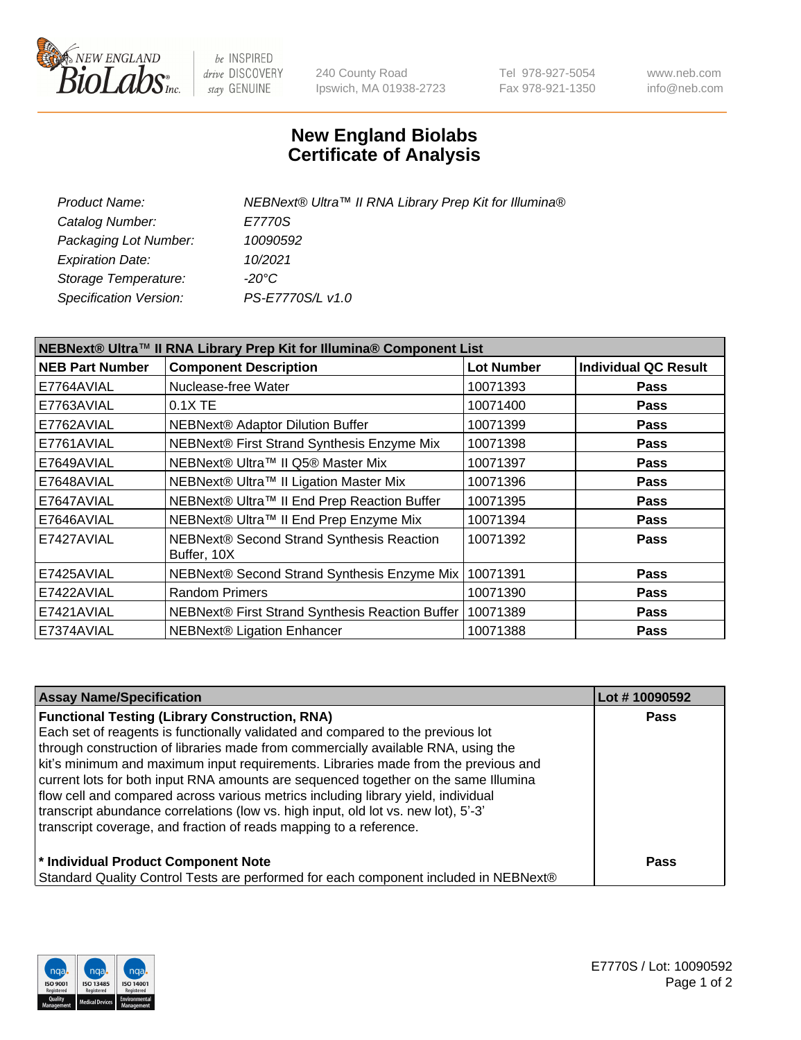

be INSPIRED drive DISCOVERY stay GENUINE

240 County Road Ipswich, MA 01938-2723 Tel 978-927-5054 Fax 978-921-1350 www.neb.com info@neb.com

## **New England Biolabs Certificate of Analysis**

| NEBNext® Ultra™ II RNA Library Prep Kit for Illumina® |
|-------------------------------------------------------|
| E7770S                                                |
| 10090592                                              |
| 10/2021                                               |
| -20°C                                                 |
| PS-E7770S/L v1.0                                      |
|                                                       |

| NEBNext® Ultra™ II RNA Library Prep Kit for Illumina® Component List |                                                            |                   |                             |  |
|----------------------------------------------------------------------|------------------------------------------------------------|-------------------|-----------------------------|--|
| <b>NEB Part Number</b>                                               | <b>Component Description</b>                               | <b>Lot Number</b> | <b>Individual QC Result</b> |  |
| E7764AVIAL                                                           | Nuclease-free Water                                        | 10071393          | <b>Pass</b>                 |  |
| E7763AVIAL                                                           | 0.1X TE                                                    | 10071400          | <b>Pass</b>                 |  |
| E7762AVIAL                                                           | <b>NEBNext® Adaptor Dilution Buffer</b>                    | 10071399          | <b>Pass</b>                 |  |
| E7761AVIAL                                                           | NEBNext® First Strand Synthesis Enzyme Mix                 | 10071398          | <b>Pass</b>                 |  |
| E7649AVIAL                                                           | NEBNext® Ultra™ II Q5® Master Mix                          | 10071397          | <b>Pass</b>                 |  |
| E7648AVIAL                                                           | NEBNext® Ultra™ II Ligation Master Mix                     | 10071396          | <b>Pass</b>                 |  |
| E7647AVIAL                                                           | NEBNext® Ultra™ II End Prep Reaction Buffer                | 10071395          | <b>Pass</b>                 |  |
| E7646AVIAL                                                           | NEBNext® Ultra™ II End Prep Enzyme Mix                     | 10071394          | <b>Pass</b>                 |  |
| E7427AVIAL                                                           | NEBNext® Second Strand Synthesis Reaction<br>Buffer, 10X   | 10071392          | <b>Pass</b>                 |  |
| E7425AVIAL                                                           | NEBNext® Second Strand Synthesis Enzyme Mix                | 10071391          | <b>Pass</b>                 |  |
| E7422AVIAL                                                           | <b>Random Primers</b>                                      | 10071390          | <b>Pass</b>                 |  |
| E7421AVIAL                                                           | NEBNext® First Strand Synthesis Reaction Buffer   10071389 |                   | <b>Pass</b>                 |  |
| E7374AVIAL                                                           | <b>NEBNext® Ligation Enhancer</b>                          | 10071388          | <b>Pass</b>                 |  |

| <b>Assay Name/Specification</b>                                                      | Lot #10090592 |
|--------------------------------------------------------------------------------------|---------------|
| <b>Functional Testing (Library Construction, RNA)</b>                                | <b>Pass</b>   |
| Each set of reagents is functionally validated and compared to the previous lot      |               |
| through construction of libraries made from commercially available RNA, using the    |               |
| kit's minimum and maximum input requirements. Libraries made from the previous and   |               |
| current lots for both input RNA amounts are sequenced together on the same Illumina  |               |
| flow cell and compared across various metrics including library yield, individual    |               |
| transcript abundance correlations (low vs. high input, old lot vs. new lot), 5'-3'   |               |
| transcript coverage, and fraction of reads mapping to a reference.                   |               |
| * Individual Product Component Note                                                  | <b>Pass</b>   |
| Standard Quality Control Tests are performed for each component included in NEBNext® |               |